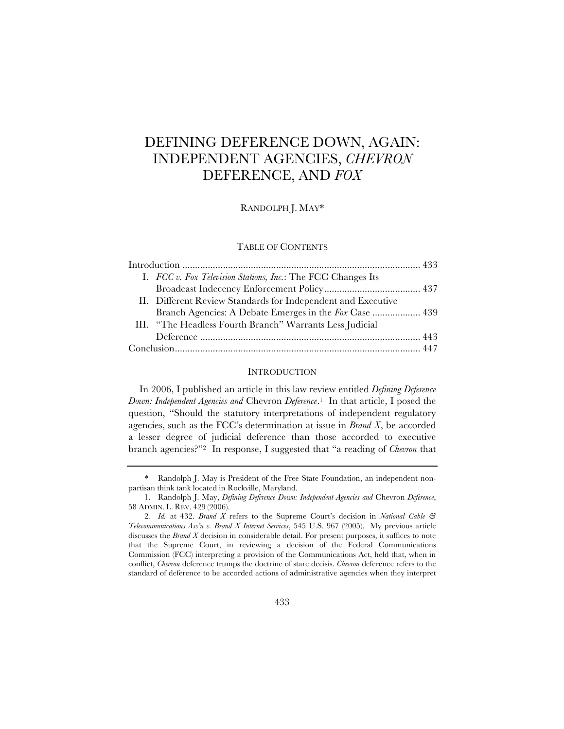# DEFINING DEFERENCE DOWN, AGAIN: INDEPENDENT AGENCIES, *CHEVRON* DEFERENCE, AND *FOX*

RANDOLPH J. MAY\*

#### TABLE OF CONTENTS

|  | I. FCC v. Fox Television Stations, Inc.: The FCC Changes Its |  |
|--|--------------------------------------------------------------|--|
|  |                                                              |  |
|  | II. Different Review Standards for Independent and Executive |  |
|  | Branch Agencies: A Debate Emerges in the Fox Case  439       |  |
|  | III. "The Headless Fourth Branch" Warrants Less Judicial     |  |
|  |                                                              |  |
|  |                                                              |  |

#### **INTRODUCTION**

In 2006, I published an article in this law review entitled *Defining Deference Down: Independent Agencies and* Chevron *Deference*.1 In that article, I posed the question, "Should the statutory interpretations of independent regulatory agencies, such as the FCC's determination at issue in *Brand X*, be accorded a lesser degree of judicial deference than those accorded to executive branch agencies?"2 In response, I suggested that "a reading of *Chevron* that

<sup>\*</sup> Randolph J. May is President of the Free State Foundation, an independent nonpartisan think tank located in Rockville, Maryland.

<sup>1.</sup> Randolph J. May, *Defining Deference Down: Independent Agencies and* Chevron *Deference*, 58 ADMIN. L. REV. 429 (2006).

<sup>2</sup>*. Id.* at 432. *Brand X* refers to the Supreme Court's decision in *National Cable & Telecommunications Ass'n v. Brand X Internet Services*, 545 U.S. 967 (2005). My previous article discusses the *Brand X* decision in considerable detail. For present purposes, it suffices to note that the Supreme Court, in reviewing a decision of the Federal Communications Commission (FCC) interpreting a provision of the Communications Act, held that, when in conflict, *Chevron* deference trumps the doctrine of stare decisis. *Chevron* deference refers to the standard of deference to be accorded actions of administrative agencies when they interpret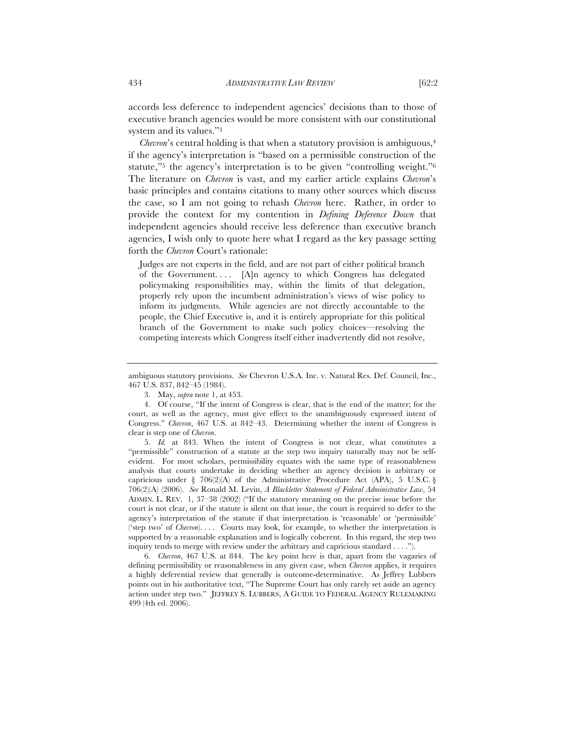accords less deference to independent agencies' decisions than to those of executive branch agencies would be more consistent with our constitutional system and its values."3

*Chevron*'s central holding is that when a statutory provision is ambiguous,<sup>4</sup> if the agency's interpretation is "based on a permissible construction of the statute,"<sup>5</sup> the agency's interpretation is to be given "controlling weight."<sup>6</sup> The literature on *Chevron* is vast, and my earlier article explains *Chevron*'s basic principles and contains citations to many other sources which discuss the case, so I am not going to rehash *Chevron* here. Rather, in order to provide the context for my contention in *Defining Deference Down* that independent agencies should receive less deference than executive branch agencies, I wish only to quote here what I regard as the key passage setting forth the *Chevron* Court's rationale:

Judges are not experts in the field, and are not part of either political branch of the Government. . . . [A]n agency to which Congress has delegated policymaking responsibilities may, within the limits of that delegation, properly rely upon the incumbent administration's views of wise policy to inform its judgments. While agencies are not directly accountable to the people, the Chief Executive is, and it is entirely appropriate for this political branch of the Government to make such policy choices—resolving the competing interests which Congress itself either inadvertently did not resolve,

5. *Id.* at 843. When the intent of Congress is not clear, what constitutes a "permissible" construction of a statute at the step two inquiry naturally may not be selfevident. For most scholars, permissibility equates with the same type of reasonableness analysis that courts undertake in deciding whether an agency decision is arbitrary or capricious under § 706(2)(A) of the Administrative Procedure Act (APA), 5 U.S.C. § 706(2)(A) (2006). *See* Ronald M. Levin, *A Blackletter Statement of Federal Administrative Law*, 54 ADMIN. L. REV. 1, 37–38 (2002) ("If the statutory meaning on the precise issue before the court is not clear, or if the statute is silent on that issue, the court is required to defer to the agency's interpretation of the statute if that interpretation is 'reasonable' or 'permissible' ('step two' of *Chevron*). . . . Courts may look, for example, to whether the interpretation is supported by a reasonable explanation and is logically coherent. In this regard, the step two inquiry tends to merge with review under the arbitrary and capricious standard . . . .").

6. *Chevron*, 467 U.S. at 844. The key point here is that, apart from the vagaries of defining permissibility or reasonableness in any given case, when *Chevron* applies, it requires a highly deferential review that generally is outcome-determinative. As Jeffrey Lubbers points out in his authoritative text, "The Supreme Court has only rarely set aside an agency action under step two." JEFFREY S. LUBBERS, A GUIDE TO FEDERAL AGENCY RULEMAKING 499 (4th ed. 2006).

ambiguous statutory provisions. *See* Chevron U.S.A. Inc. v. Natural Res. Def. Council, Inc., 467 U.S. 837, 842–45 (1984).

<sup>3.</sup> May, *supra* note 1, at 453.

<sup>4.</sup> Of course, "If the intent of Congress is clear, that is the end of the matter; for the court, as well as the agency, must give effect to the unambiguously expressed intent of Congress." *Chevron*, 467 U.S. at 842–43. Determining whether the intent of Congress is clear is step one of *Chevron*.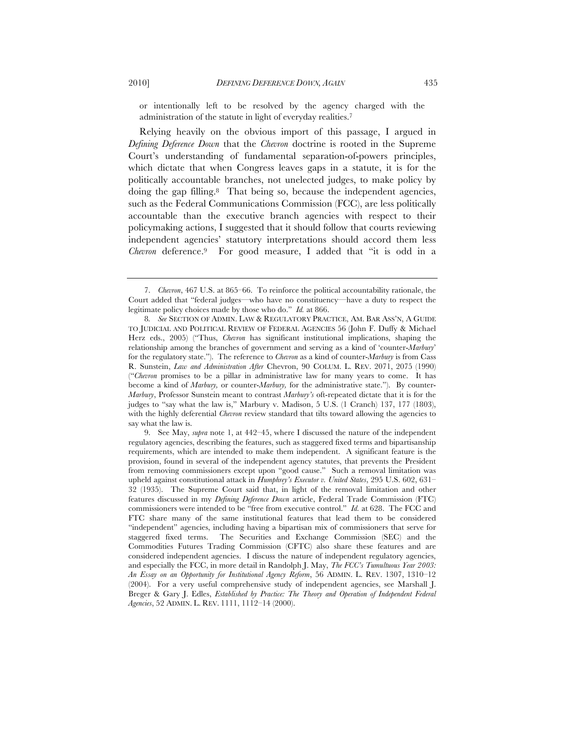or intentionally left to be resolved by the agency charged with the administration of the statute in light of everyday realities.7

Relying heavily on the obvious import of this passage, I argued in *Defining Deference Down* that the *Chevron* doctrine is rooted in the Supreme Court's understanding of fundamental separation-of-powers principles, which dictate that when Congress leaves gaps in a statute, it is for the politically accountable branches, not unelected judges, to make policy by doing the gap filling.8 That being so, because the independent agencies, such as the Federal Communications Commission (FCC), are less politically accountable than the executive branch agencies with respect to their policymaking actions, I suggested that it should follow that courts reviewing independent agencies' statutory interpretations should accord them less *Chevron* deference.9 For good measure, I added that "it is odd in a

<sup>7.</sup> *Chevron*, 467 U.S. at 865–66. To reinforce the political accountability rationale, the Court added that "federal judges—who have no constituency—have a duty to respect the legitimate policy choices made by those who do." *Id.* at 866.

<sup>8</sup>*. See* SECTION OF ADMIN. LAW & REGULATORY PRACTICE, AM. BAR ASS'N, A GUIDE TO JUDICIAL AND POLITICAL REVIEW OF FEDERAL AGENCIES 56 (John F. Duffy & Michael Herz eds., 2005) ("Thus, *Chevron* has significant institutional implications, shaping the relationship among the branches of government and serving as a kind of 'counter-*Marbury*' for the regulatory state."). The reference to *Chevron* as a kind of counter-*Marbury* is from Cass R. Sunstein, *Law and Administration After* Chevron, 90 COLUM. L. REV. 2071, 2075 (1990) ("*Chevron* promises to be a pillar in administrative law for many years to come. It has become a kind of *Marbury,* or counter-*Marbury,* for the administrative state."). By counter-*Marbury*, Professor Sunstein meant to contrast *Marbury's* oft-repeated dictate that it is for the judges to "say what the law is," Marbury v. Madison, 5 U.S. (1 Cranch) 137, 177 (1803), with the highly deferential *Chevron* review standard that tilts toward allowing the agencies to say what the law is.

<sup>9.</sup> See May, *supra* note 1, at 442–45, where I discussed the nature of the independent regulatory agencies, describing the features, such as staggered fixed terms and bipartisanship requirements, which are intended to make them independent. A significant feature is the provision, found in several of the independent agency statutes, that prevents the President from removing commissioners except upon "good cause." Such a removal limitation was upheld against constitutional attack in *Humphrey's Executor v. United States*, 295 U.S. 602, 631– 32 (1935). The Supreme Court said that, in light of the removal limitation and other features discussed in my *Defining Deference Down* article, Federal Trade Commission (FTC) commissioners were intended to be "free from executive control." *Id.* at 628. The FCC and FTC share many of the same institutional features that lead them to be considered "independent" agencies, including having a bipartisan mix of commissioners that serve for staggered fixed terms. The Securities and Exchange Commission (SEC) and the Commodities Futures Trading Commission (CFTC) also share these features and are considered independent agencies. I discuss the nature of independent regulatory agencies, and especially the FCC, in more detail in Randolph J. May, *The FCC's Tumultuous Year 2003: An Essay on an Opportunity for Institutional Agency Reform*, 56 ADMIN. L. REV. 1307, 1310–12 (2004). For a very useful comprehensive study of independent agencies, see Marshall J. Breger & Gary J. Edles, *Established by Practice: The Theory and Operation of Independent Federal Agencies*, 52 ADMIN. L. REV. 1111, 1112–14 (2000).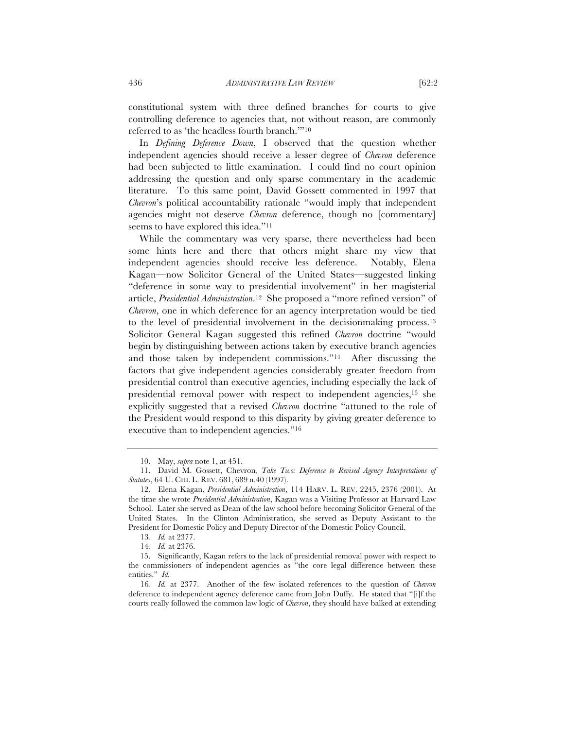constitutional system with three defined branches for courts to give controlling deference to agencies that, not without reason, are commonly referred to as 'the headless fourth branch.'"10

In *Defining Deference Down*, I observed that the question whether independent agencies should receive a lesser degree of *Chevron* deference had been subjected to little examination. I could find no court opinion addressing the question and only sparse commentary in the academic literature. To this same point, David Gossett commented in 1997 that *Chevron*'s political accountability rationale "would imply that independent agencies might not deserve *Chevron* deference, though no [commentary] seems to have explored this idea."<sup>11</sup>

While the commentary was very sparse, there nevertheless had been some hints here and there that others might share my view that independent agencies should receive less deference. Notably, Elena Kagan—now Solicitor General of the United States—suggested linking "deference in some way to presidential involvement" in her magisterial article, *Presidential Administration*.12 She proposed a "more refined version" of *Chevron*, one in which deference for an agency interpretation would be tied to the level of presidential involvement in the decisionmaking process.13 Solicitor General Kagan suggested this refined *Chevron* doctrine "would begin by distinguishing between actions taken by executive branch agencies and those taken by independent commissions."14 After discussing the factors that give independent agencies considerably greater freedom from presidential control than executive agencies, including especially the lack of presidential removal power with respect to independent agencies,15 she explicitly suggested that a revised *Chevron* doctrine "attuned to the role of the President would respond to this disparity by giving greater deference to executive than to independent agencies."16

<sup>10.</sup> May, *supra* note 1, at 451.

<sup>11.</sup> David M. Gossett, Chevron*, Take Two: Deference to Revised Agency Interpretations of Statutes*, 64 U. CHI. L. REV. 681, 689 n.40 (1997).

<sup>12.</sup> Elena Kagan, *Presidential Administration*, 114 HARV. L. REV. 2245, 2376 (2001). At the time she wrote *Presidential Administration*, Kagan was a Visiting Professor at Harvard Law School. Later she served as Dean of the law school before becoming Solicitor General of the United States. In the Clinton Administration, she served as Deputy Assistant to the President for Domestic Policy and Deputy Director of the Domestic Policy Council.

<sup>13</sup>*. Id.* at 2377.

<sup>14</sup>*. Id.* at 2376.

<sup>15.</sup> Significantly, Kagan refers to the lack of presidential removal power with respect to the commissioners of independent agencies as "the core legal difference between these entities." *Id.* 

<sup>16</sup>*. Id.* at 2377. Another of the few isolated references to the question of *Chevron* deference to independent agency deference came from John Duffy. He stated that "[i]f the courts really followed the common law logic of *Chevron*, they should have balked at extending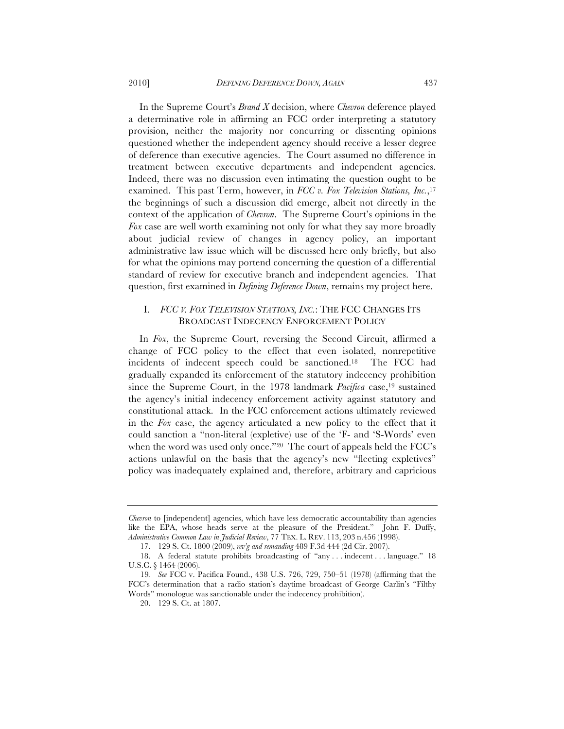In the Supreme Court's *Brand X* decision, where *Chevron* deference played a determinative role in affirming an FCC order interpreting a statutory provision, neither the majority nor concurring or dissenting opinions questioned whether the independent agency should receive a lesser degree of deference than executive agencies. The Court assumed no difference in treatment between executive departments and independent agencies. Indeed, there was no discussion even intimating the question ought to be examined. This past Term, however, in *FCC v. Fox Television Stations, Inc.*,17 the beginnings of such a discussion did emerge, albeit not directly in the context of the application of *Chevron*. The Supreme Court's opinions in the *Fox* case are well worth examining not only for what they say more broadly about judicial review of changes in agency policy, an important administrative law issue which will be discussed here only briefly, but also for what the opinions may portend concerning the question of a differential standard of review for executive branch and independent agencies. That question, first examined in *Defining Deference Down*, remains my project here.

# I. *FCC V. FOX TELEVISION STATIONS, INC.*: THE FCC CHANGES ITS BROADCAST INDECENCY ENFORCEMENT POLICY

In *Fox*, the Supreme Court, reversing the Second Circuit, affirmed a change of FCC policy to the effect that even isolated, nonrepetitive incidents of indecent speech could be sanctioned.18 The FCC had gradually expanded its enforcement of the statutory indecency prohibition since the Supreme Court, in the 1978 landmark *Pacifica* case,<sup>19</sup> sustained the agency's initial indecency enforcement activity against statutory and constitutional attack. In the FCC enforcement actions ultimately reviewed in the *Fox* case, the agency articulated a new policy to the effect that it could sanction a "non-literal (expletive) use of the 'F- and 'S-Words' even when the word was used only once."<sup>20</sup> The court of appeals held the FCC's actions unlawful on the basis that the agency's new "fleeting expletives" policy was inadequately explained and, therefore, arbitrary and capricious

*Chevron* to [independent] agencies, which have less democratic accountability than agencies like the EPA, whose heads serve at the pleasure of the President." John F. Duffy, *Administrative Common Law in Judicial Review*, 77 TEX. L. REV. 113, 203 n.456 (1998).

<sup>17.</sup> 129 S. Ct. 1800 (2009), *rev'g and remanding* 489 F.3d 444 (2d Cir. 2007).

<sup>18.</sup> A federal statute prohibits broadcasting of "any . . . indecent . . . language." 18 U.S.C. § 1464 (2006).

<sup>19</sup>*. See* FCC v. Pacifica Found., 438 U.S. 726, 729, 750–51 (1978) (affirming that the FCC's determination that a radio station's daytime broadcast of George Carlin's "Filthy Words" monologue was sanctionable under the indecency prohibition).

<sup>20.</sup> 129 S. Ct. at 1807.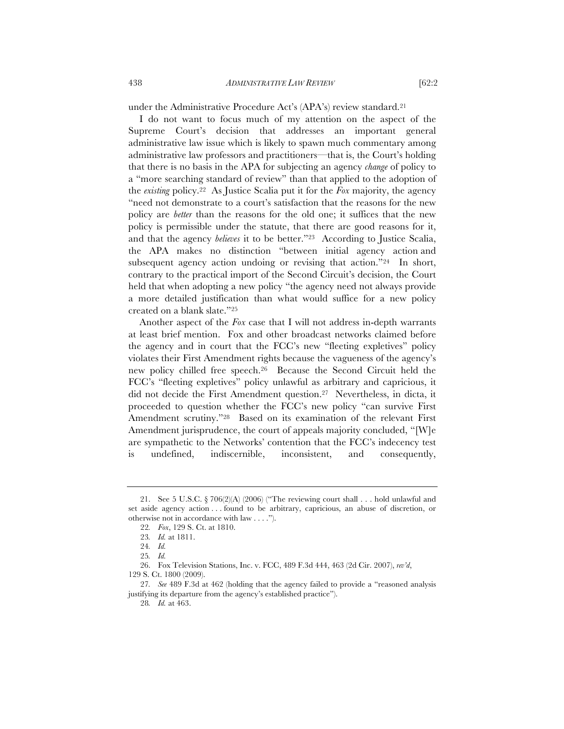under the Administrative Procedure Act's (APA's) review standard.21

I do not want to focus much of my attention on the aspect of the Supreme Court's decision that addresses an important general administrative law issue which is likely to spawn much commentary among administrative law professors and practitioners—that is, the Court's holding that there is no basis in the APA for subjecting an agency *change* of policy to a "more searching standard of review" than that applied to the adoption of the *existing* policy.22 As Justice Scalia put it for the *Fox* majority, the agency "need not demonstrate to a court's satisfaction that the reasons for the new policy are *better* than the reasons for the old one; it suffices that the new policy is permissible under the statute, that there are good reasons for it, and that the agency *believes* it to be better."<sup>23</sup> According to Justice Scalia, the APA makes no distinction "between initial agency action and subsequent agency action undoing or revising that action."24 In short, contrary to the practical import of the Second Circuit's decision, the Court held that when adopting a new policy "the agency need not always provide a more detailed justification than what would suffice for a new policy created on a blank slate."25

Another aspect of the *Fox* case that I will not address in-depth warrants at least brief mention. Fox and other broadcast networks claimed before the agency and in court that the FCC's new "fleeting expletives" policy violates their First Amendment rights because the vagueness of the agency's new policy chilled free speech.26 Because the Second Circuit held the FCC's "fleeting expletives" policy unlawful as arbitrary and capricious, it did not decide the First Amendment question.27 Nevertheless, in dicta, it proceeded to question whether the FCC's new policy "can survive First Amendment scrutiny."28 Based on its examination of the relevant First Amendment jurisprudence, the court of appeals majority concluded, "[W]e are sympathetic to the Networks' contention that the FCC's indecency test is undefined, indiscernible, inconsistent, and consequently,

26. Fox Television Stations, Inc. v. FCC, 489 F.3d 444, 463 (2d Cir. 2007), *rev'd*, 129 S. Ct. 1800 (2009).

27*. See* 489 F.3d at 462 (holding that the agency failed to provide a "reasoned analysis justifying its departure from the agency's established practice").

28*. Id.* at 463.

<sup>21.</sup> See 5 U.S.C. § 706(2)(A) (2006) ("The reviewing court shall . . . hold unlawful and set aside agency action . . . found to be arbitrary, capricious, an abuse of discretion, or otherwise not in accordance with law . . . .").

<sup>22</sup>*. Fox*, 129 S. Ct. at 1810.

<sup>23</sup>*. Id.* at 1811.

<sup>24</sup>*. Id.*

<sup>25</sup>*. Id.*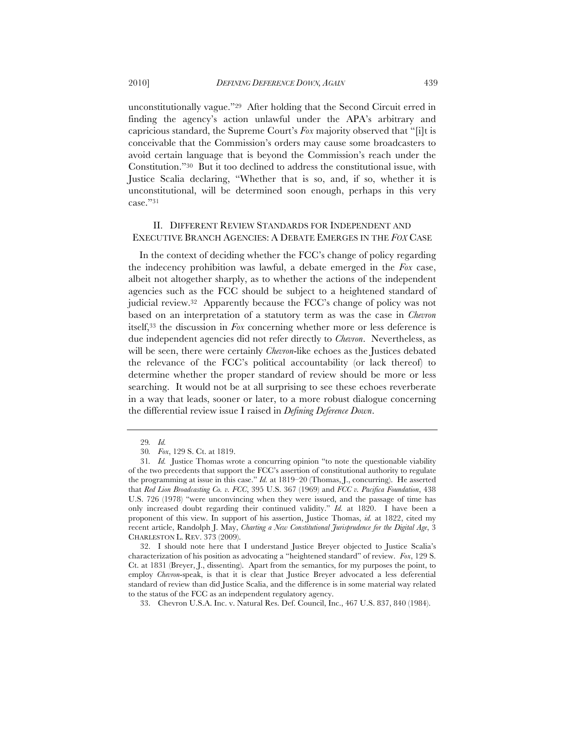unconstitutionally vague."29 After holding that the Second Circuit erred in finding the agency's action unlawful under the APA's arbitrary and capricious standard, the Supreme Court's *Fox* majority observed that "[i]t is conceivable that the Commission's orders may cause some broadcasters to avoid certain language that is beyond the Commission's reach under the Constitution."30 But it too declined to address the constitutional issue, with Justice Scalia declaring, "Whether that is so, and, if so, whether it is unconstitutional, will be determined soon enough, perhaps in this very case."31

### II. DIFFERENT REVIEW STANDARDS FOR INDEPENDENT AND EXECUTIVE BRANCH AGENCIES: A DEBATE EMERGES IN THE *FOX* CASE

In the context of deciding whether the FCC's change of policy regarding the indecency prohibition was lawful, a debate emerged in the *Fox* case, albeit not altogether sharply, as to whether the actions of the independent agencies such as the FCC should be subject to a heightened standard of judicial review.32 Apparently because the FCC's change of policy was not based on an interpretation of a statutory term as was the case in *Chevron* itself,33 the discussion in *Fox* concerning whether more or less deference is due independent agencies did not refer directly to *Chevron*. Nevertheless, as will be seen, there were certainly *Chevron*-like echoes as the Justices debated the relevance of the FCC's political accountability (or lack thereof) to determine whether the proper standard of review should be more or less searching. It would not be at all surprising to see these echoes reverberate in a way that leads, sooner or later, to a more robust dialogue concerning the differential review issue I raised in *Defining Deference Down*.

<sup>29</sup>*. Id.*

<sup>30</sup>*. Fox*, 129 S. Ct. at 1819.

<sup>31</sup>*. Id.* Justice Thomas wrote a concurring opinion "to note the questionable viability of the two precedents that support the FCC's assertion of constitutional authority to regulate the programming at issue in this case." *Id.* at 1819–20 (Thomas, J., concurring). He asserted that *Red Lion Broadcasting Co. v. FCC*, 395 U.S. 367 (1969) and *FCC v. Pacifica Foundation*, 438 U.S. 726 (1978) "were unconvincing when they were issued, and the passage of time has only increased doubt regarding their continued validity." *Id.* at 1820. I have been a proponent of this view. In support of his assertion, Justice Thomas, *id.* at 1822, cited my recent article, Randolph J. May, *Charting a New Constitutional Jurisprudence for the Digital Age*, 3 CHARLESTON L. REV. 373 (2009).

<sup>32.</sup> I should note here that I understand Justice Breyer objected to Justice Scalia's characterization of his position as advocating a "heightened standard" of review. *Fox*, 129 S. Ct. at 1831 (Breyer, J., dissenting). Apart from the semantics, for my purposes the point, to employ *Chevron*-speak, is that it is clear that Justice Breyer advocated a less deferential standard of review than did Justice Scalia, and the difference is in some material way related to the status of the FCC as an independent regulatory agency.

<sup>33.</sup> Chevron U.S.A. Inc. v. Natural Res. Def. Council, Inc., 467 U.S. 837, 840 (1984).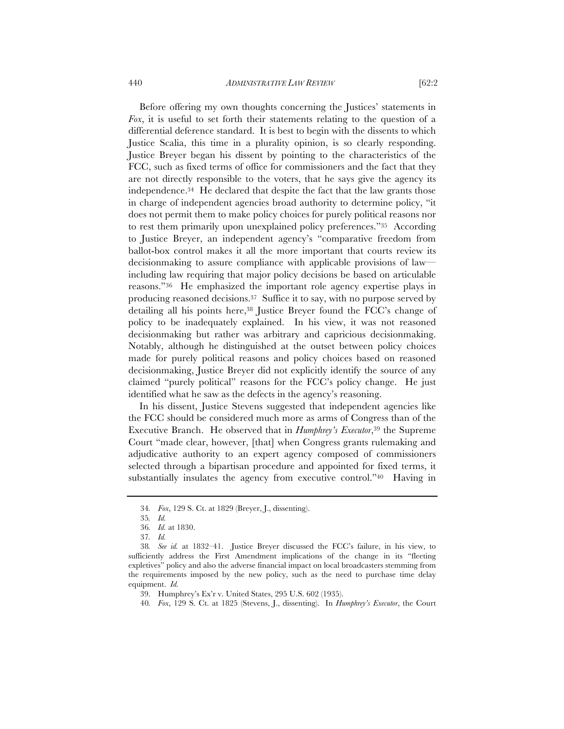440 *ADMINISTRATIVE LAW REVIEW* [62:2

Before offering my own thoughts concerning the Justices' statements in

*Fox*, it is useful to set forth their statements relating to the question of a differential deference standard. It is best to begin with the dissents to which Justice Scalia, this time in a plurality opinion, is so clearly responding. Justice Breyer began his dissent by pointing to the characteristics of the FCC, such as fixed terms of office for commissioners and the fact that they are not directly responsible to the voters, that he says give the agency its independence.34 He declared that despite the fact that the law grants those in charge of independent agencies broad authority to determine policy, "it does not permit them to make policy choices for purely political reasons nor to rest them primarily upon unexplained policy preferences."35 According to Justice Breyer, an independent agency's "comparative freedom from ballot-box control makes it all the more important that courts review its decisionmaking to assure compliance with applicable provisions of law including law requiring that major policy decisions be based on articulable reasons."36 He emphasized the important role agency expertise plays in producing reasoned decisions.37 Suffice it to say, with no purpose served by detailing all his points here,38 Justice Breyer found the FCC's change of policy to be inadequately explained. In his view, it was not reasoned decisionmaking but rather was arbitrary and capricious decisionmaking. Notably, although he distinguished at the outset between policy choices made for purely political reasons and policy choices based on reasoned decisionmaking, Justice Breyer did not explicitly identify the source of any claimed "purely political" reasons for the FCC's policy change. He just identified what he saw as the defects in the agency's reasoning.

In his dissent, Justice Stevens suggested that independent agencies like the FCC should be considered much more as arms of Congress than of the Executive Branch. He observed that in *Humphrey's Executor*,39 the Supreme Court "made clear, however, [that] when Congress grants rulemaking and adjudicative authority to an expert agency composed of commissioners selected through a bipartisan procedure and appointed for fixed terms, it substantially insulates the agency from executive control."40 Having in

<sup>34</sup>*. Fox*, 129 S. Ct. at 1829 (Breyer, J., dissenting).

<sup>35</sup>*. Id.*

<sup>36</sup>*. Id.* at 1830.

<sup>37</sup>*. Id.*

<sup>38</sup>*. See id.* at 1832–41. Justice Breyer discussed the FCC's failure, in his view, to sufficiently address the First Amendment implications of the change in its "fleeting expletives" policy and also the adverse financial impact on local broadcasters stemming from the requirements imposed by the new policy, such as the need to purchase time delay equipment. *Id.*

<sup>39.</sup> Humphrey's Ex'r v. United States, 295 U.S. 602 (1935).

<sup>40</sup>*. Fox*, 129 S. Ct. at 1825 (Stevens, J., dissenting). In *Humphrey's Executor*, the Court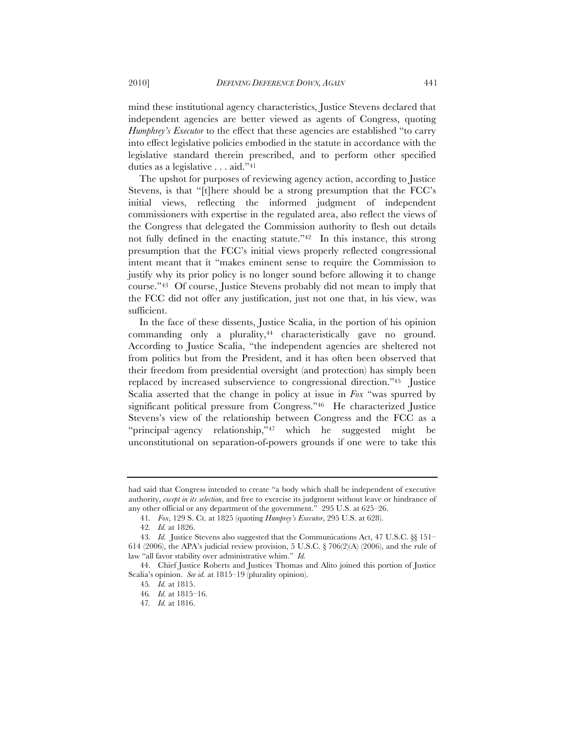mind these institutional agency characteristics, Justice Stevens declared that independent agencies are better viewed as agents of Congress, quoting *Humphrey's Executor* to the effect that these agencies are established "to carry into effect legislative policies embodied in the statute in accordance with the legislative standard therein prescribed, and to perform other specified duties as a legislative . . . aid."41

The upshot for purposes of reviewing agency action, according to Justice Stevens, is that "[t]here should be a strong presumption that the FCC's initial views, reflecting the informed judgment of independent commissioners with expertise in the regulated area, also reflect the views of the Congress that delegated the Commission authority to flesh out details not fully defined in the enacting statute."42 In this instance, this strong presumption that the FCC's initial views properly reflected congressional intent meant that it "makes eminent sense to require the Commission to justify why its prior policy is no longer sound before allowing it to change course."43 Of course, Justice Stevens probably did not mean to imply that the FCC did not offer any justification, just not one that, in his view, was sufficient.

In the face of these dissents, Justice Scalia, in the portion of his opinion commanding only a plurality,<sup>44</sup> characteristically gave no ground. According to Justice Scalia, "the independent agencies are sheltered not from politics but from the President, and it has often been observed that their freedom from presidential oversight (and protection) has simply been replaced by increased subservience to congressional direction."45 Justice Scalia asserted that the change in policy at issue in *Fox* "was spurred by significant political pressure from Congress."46 He characterized Justice Stevens's view of the relationship between Congress and the FCC as a "principal–agency relationship,"47 which he suggested might be unconstitutional on separation-of-powers grounds if one were to take this

had said that Congress intended to create "a body which shall be independent of executive authority, *except in its selection*, and free to exercise its judgment without leave or hindrance of any other official or any department of the government." 295 U.S. at 625–26.

<sup>41</sup>*. Fox*, 129 S. Ct. at 1825 (quoting *Humprey's Executor*, 295 U.S. at 628).

<sup>42</sup>*. Id.* at 1826.

<sup>43</sup>*. Id.* Justice Stevens also suggested that the Communications Act, 47 U.S.C. §§ 151– 614 (2006), the APA's judicial review provision, 5 U.S.C.  $\S$  706(2)(A) (2006), and the rule of law "all favor stability over administrative whim." *Id.*

<sup>44.</sup> Chief Justice Roberts and Justices Thomas and Alito joined this portion of Justice Scalia's opinion. *See id.* at 1815–19 (plurality opinion).

<sup>45</sup>*. Id.* at 1815.

<sup>46</sup>*. Id.* at 1815–16.

<sup>47</sup>*. Id.* at 1816.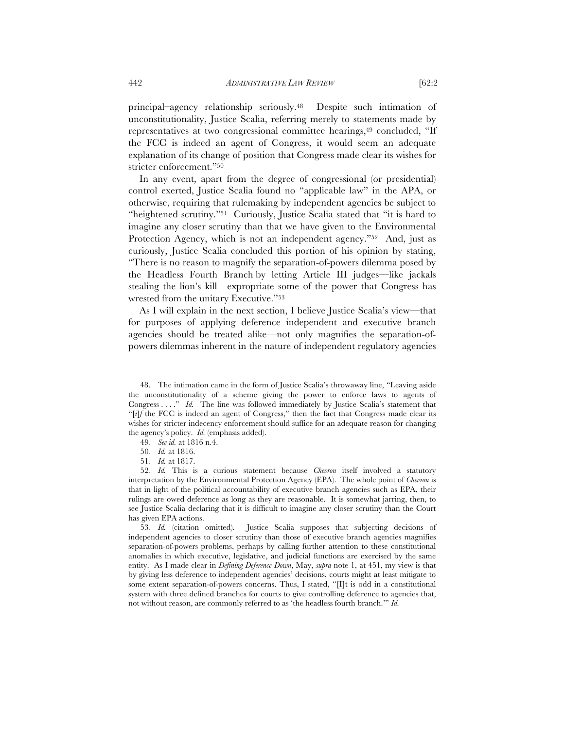principal–agency relationship seriously.48 Despite such intimation of unconstitutionality, Justice Scalia, referring merely to statements made by representatives at two congressional committee hearings,<sup>49</sup> concluded, "If the FCC is indeed an agent of Congress, it would seem an adequate explanation of its change of position that Congress made clear its wishes for stricter enforcement."50

In any event, apart from the degree of congressional (or presidential) control exerted, Justice Scalia found no "applicable law" in the APA, or otherwise, requiring that rulemaking by independent agencies be subject to "heightened scrutiny."51 Curiously, Justice Scalia stated that "it is hard to imagine any closer scrutiny than that we have given to the Environmental Protection Agency, which is not an independent agency."<sup>52</sup> And, just as curiously, Justice Scalia concluded this portion of his opinion by stating, "There is no reason to magnify the separation-of-powers dilemma posed by the Headless Fourth Branch by letting Article III judges—like jackals stealing the lion's kill—expropriate some of the power that Congress has wrested from the unitary Executive."53

As I will explain in the next section, I believe Justice Scalia's view—that for purposes of applying deference independent and executive branch agencies should be treated alike—not only magnifies the separation-ofpowers dilemmas inherent in the nature of independent regulatory agencies

<sup>48.</sup> The intimation came in the form of Justice Scalia's throwaway line, "Leaving aside the unconstitutionality of a scheme giving the power to enforce laws to agents of Congress . . . ." *Id.* The line was followed immediately by Justice Scalia's statement that "[*i*]*f* the FCC is indeed an agent of Congress," then the fact that Congress made clear its wishes for stricter indecency enforcement should suffice for an adequate reason for changing the agency's policy. *Id.* (emphasis added).

<sup>49</sup>*. See id.* at 1816 n.4.

<sup>50</sup>*. Id.* at 1816.

<sup>51</sup>*. Id.* at 1817.

<sup>52</sup>*. Id.* This is a curious statement because *Chevron* itself involved a statutory interpretation by the Environmental Protection Agency (EPA). The whole point of *Chevron* is that in light of the political accountability of executive branch agencies such as EPA, their rulings are owed deference as long as they are reasonable. It is somewhat jarring, then, to see Justice Scalia declaring that it is difficult to imagine any closer scrutiny than the Court has given EPA actions.

<sup>53</sup>*. Id.* (citation omitted). Justice Scalia supposes that subjecting decisions of independent agencies to closer scrutiny than those of executive branch agencies magnifies separation-of-powers problems, perhaps by calling further attention to these constitutional anomalies in which executive, legislative, and judicial functions are exercised by the same entity. As I made clear in *Defining Deference Down*, May, *supra* note 1, at 451, my view is that by giving less deference to independent agencies' decisions, courts might at least mitigate to some extent separation-of-powers concerns. Thus, I stated, " $\Pi$ t is odd in a constitutional system with three defined branches for courts to give controlling deference to agencies that, not without reason, are commonly referred to as 'the headless fourth branch.'" *Id.*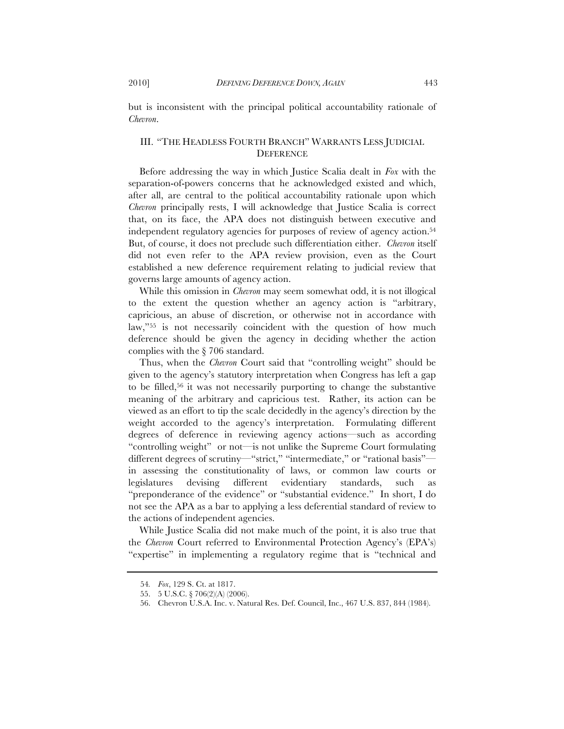but is inconsistent with the principal political accountability rationale of *Chevron*.

# III. "THE HEADLESS FOURTH BRANCH" WARRANTS LESS JUDICIAL **DEFERENCE**

Before addressing the way in which Justice Scalia dealt in *Fox* with the separation-of-powers concerns that he acknowledged existed and which, after all, are central to the political accountability rationale upon which *Chevron* principally rests, I will acknowledge that Justice Scalia is correct that, on its face, the APA does not distinguish between executive and independent regulatory agencies for purposes of review of agency action.<sup>54</sup> But, of course, it does not preclude such differentiation either. *Chevron* itself did not even refer to the APA review provision, even as the Court established a new deference requirement relating to judicial review that governs large amounts of agency action.

While this omission in *Chevron* may seem somewhat odd, it is not illogical to the extent the question whether an agency action is "arbitrary, capricious, an abuse of discretion, or otherwise not in accordance with law,"<sup>55</sup> is not necessarily coincident with the question of how much deference should be given the agency in deciding whether the action complies with the § 706 standard.

Thus, when the *Chevron* Court said that "controlling weight" should be given to the agency's statutory interpretation when Congress has left a gap to be filled,56 it was not necessarily purporting to change the substantive meaning of the arbitrary and capricious test. Rather, its action can be viewed as an effort to tip the scale decidedly in the agency's direction by the weight accorded to the agency's interpretation. Formulating different degrees of deference in reviewing agency actions—such as according "controlling weight" or not—is not unlike the Supreme Court formulating different degrees of scrutiny—"strict," "intermediate," or "rational basis" in assessing the constitutionality of laws, or common law courts or legislatures devising different evidentiary standards, such as "preponderance of the evidence" or "substantial evidence." In short, I do not see the APA as a bar to applying a less deferential standard of review to the actions of independent agencies.

While Justice Scalia did not make much of the point, it is also true that the *Chevron* Court referred to Environmental Protection Agency's (EPA's) "expertise" in implementing a regulatory regime that is "technical and

<sup>54</sup>*. Fox*, 129 S. Ct. at 1817.

<sup>55.</sup> 5 U.S.C. § 706(2)(A) (2006).

<sup>56.</sup> Chevron U.S.A. Inc. v. Natural Res. Def. Council, Inc., 467 U.S. 837, 844 (1984).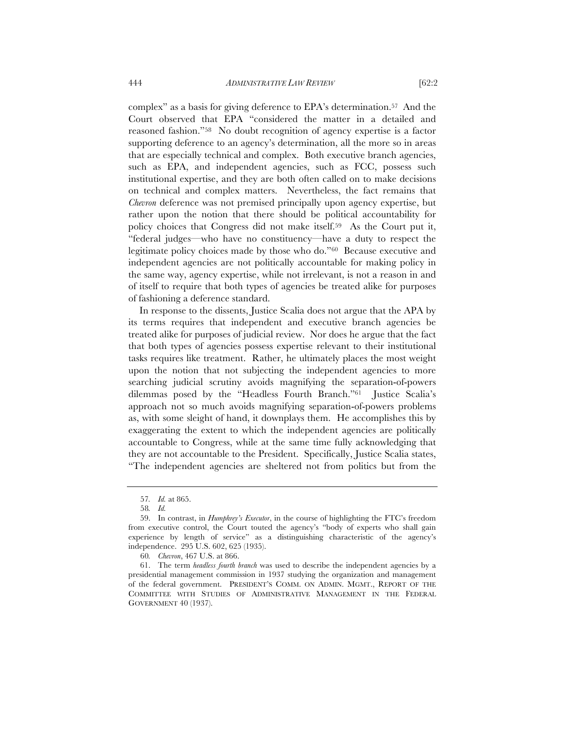complex" as a basis for giving deference to EPA's determination.57 And the Court observed that EPA "considered the matter in a detailed and reasoned fashion."58 No doubt recognition of agency expertise is a factor supporting deference to an agency's determination, all the more so in areas that are especially technical and complex. Both executive branch agencies, such as EPA, and independent agencies, such as FCC, possess such institutional expertise, and they are both often called on to make decisions on technical and complex matters. Nevertheless, the fact remains that *Chevron* deference was not premised principally upon agency expertise, but rather upon the notion that there should be political accountability for policy choices that Congress did not make itself.59 As the Court put it, "federal judges—who have no constituency—have a duty to respect the legitimate policy choices made by those who do."60 Because executive and independent agencies are not politically accountable for making policy in the same way, agency expertise, while not irrelevant, is not a reason in and of itself to require that both types of agencies be treated alike for purposes of fashioning a deference standard.

In response to the dissents, Justice Scalia does not argue that the APA by its terms requires that independent and executive branch agencies be treated alike for purposes of judicial review. Nor does he argue that the fact that both types of agencies possess expertise relevant to their institutional tasks requires like treatment. Rather, he ultimately places the most weight upon the notion that not subjecting the independent agencies to more searching judicial scrutiny avoids magnifying the separation-of-powers dilemmas posed by the "Headless Fourth Branch."61 Justice Scalia's approach not so much avoids magnifying separation-of-powers problems as, with some sleight of hand, it downplays them. He accomplishes this by exaggerating the extent to which the independent agencies are politically accountable to Congress, while at the same time fully acknowledging that they are not accountable to the President. Specifically, Justice Scalia states, "The independent agencies are sheltered not from politics but from the

<sup>57</sup>*. Id.* at 865.

<sup>58</sup>*. Id.*

<sup>59.</sup> In contrast, in *Humphrey's Executor*, in the course of highlighting the FTC's freedom from executive control, the Court touted the agency's "body of experts who shall gain experience by length of service" as a distinguishing characteristic of the agency's independence. 295 U.S. 602, 625 (1935).

<sup>60</sup>*. Chevron*, 467 U.S. at 866.

<sup>61.</sup> The term *headless fourth branch* was used to describe the independent agencies by a presidential management commission in 1937 studying the organization and management of the federal government. PRESIDENT'S COMM. ON ADMIN. MGMT., REPORT OF THE COMMITTEE WITH STUDIES OF ADMINISTRATIVE MANAGEMENT IN THE FEDERAL GOVERNMENT 40 (1937).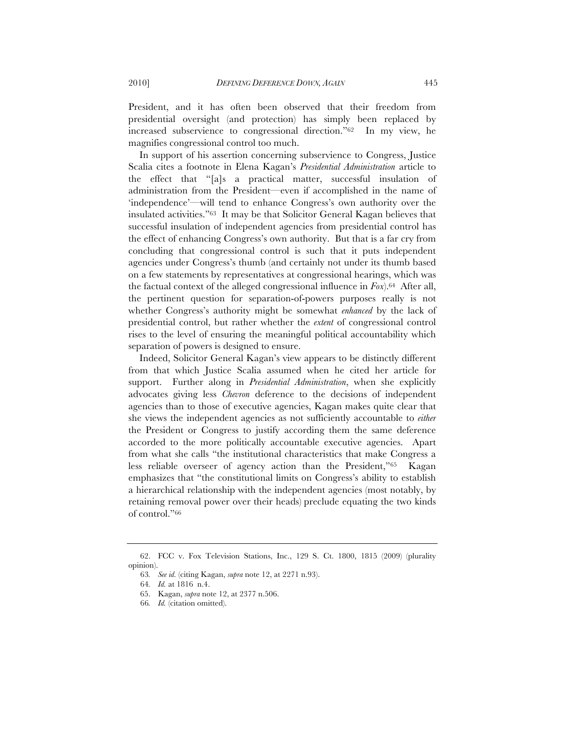President, and it has often been observed that their freedom from presidential oversight (and protection) has simply been replaced by increased subservience to congressional direction."62 In my view, he magnifies congressional control too much.

In support of his assertion concerning subservience to Congress, Justice Scalia cites a footnote in Elena Kagan's *Presidential Administration* article to the effect that "[a]s a practical matter, successful insulation of administration from the President—even if accomplished in the name of 'independence'—will tend to enhance Congress's own authority over the insulated activities."63 It may be that Solicitor General Kagan believes that successful insulation of independent agencies from presidential control has the effect of enhancing Congress's own authority. But that is a far cry from concluding that congressional control is such that it puts independent agencies under Congress's thumb (and certainly not under its thumb based on a few statements by representatives at congressional hearings, which was the factual context of the alleged congressional influence in *Fox*).64 After all, the pertinent question for separation-of-powers purposes really is not whether Congress's authority might be somewhat *enhanced* by the lack of presidential control, but rather whether the *extent* of congressional control rises to the level of ensuring the meaningful political accountability which separation of powers is designed to ensure.

Indeed, Solicitor General Kagan's view appears to be distinctly different from that which Justice Scalia assumed when he cited her article for support. Further along in *Presidential Administration*, when she explicitly advocates giving less *Chevron* deference to the decisions of independent agencies than to those of executive agencies, Kagan makes quite clear that she views the independent agencies as not sufficiently accountable to *either* the President or Congress to justify according them the same deference accorded to the more politically accountable executive agencies. Apart from what she calls "the institutional characteristics that make Congress a less reliable overseer of agency action than the President,"65 Kagan emphasizes that "the constitutional limits on Congress's ability to establish a hierarchical relationship with the independent agencies (most notably, by retaining removal power over their heads) preclude equating the two kinds of control."66

<sup>62.</sup> FCC v. Fox Television Stations, Inc., 129 S. Ct. 1800, 1815 (2009) (plurality opinion).

<sup>63</sup>*. See id.* (citing Kagan, *supra* note 12, at 2271 n.93).

<sup>64</sup>*. Id.* at 1816 n.4.

<sup>65.</sup> Kagan, *supra* note 12, at 2377 n.506.

<sup>66</sup>*. Id.* (citation omitted).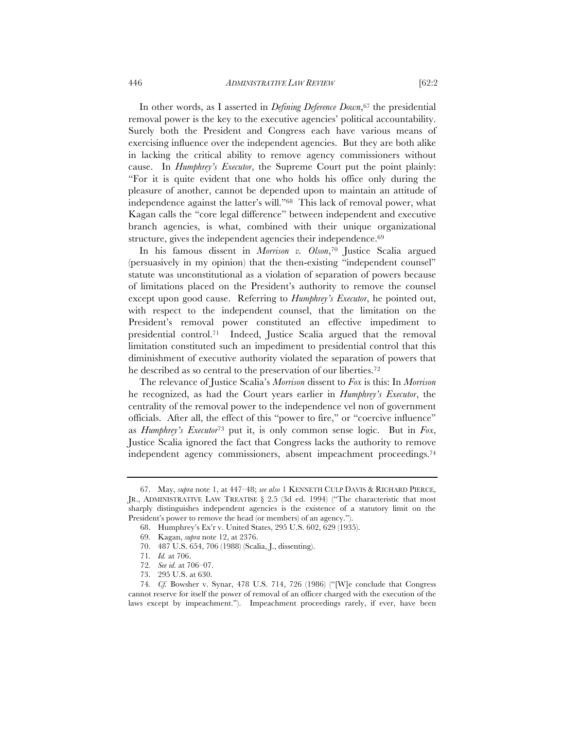In other words, as I asserted in *Defining Deference Down*,<sup>67</sup> the presidential removal power is the key to the executive agencies' political accountability. Surely both the President and Congress each have various means of exercising influence over the independent agencies. But they are both alike in lacking the critical ability to remove agency commissioners without cause. In *Humphrey's Executor*, the Supreme Court put the point plainly: "For it is quite evident that one who holds his office only during the pleasure of another, cannot be depended upon to maintain an attitude of independence against the latter's will."68 This lack of removal power, what

branch agencies, is what, combined with their unique organizational structure, gives the independent agencies their independence.69 In his famous dissent in *Morrison v. Olson*,70 Justice Scalia argued (persuasively in my opinion) that the then-existing "independent counsel" statute was unconstitutional as a violation of separation of powers because of limitations placed on the President's authority to remove the counsel except upon good cause. Referring to *Humphrey's Executor*, he pointed out, with respect to the independent counsel, that the limitation on the President's removal power constituted an effective impediment to presidential control.71 Indeed, Justice Scalia argued that the removal limitation constituted such an impediment to presidential control that this diminishment of executive authority violated the separation of powers that he described as so central to the preservation of our liberties.72

Kagan calls the "core legal difference" between independent and executive

The relevance of Justice Scalia's *Morrison* dissent to *Fox* is this: In *Morrison* he recognized, as had the Court years earlier in *Humphrey's Executor*, the centrality of the removal power to the independence vel non of government officials. After all, the effect of this "power to fire," or "coercive influence" as *Humphrey's Executor*<sup>73</sup> put it, is only common sense logic. But in *Fox*, Justice Scalia ignored the fact that Congress lacks the authority to remove independent agency commissioners, absent impeachment proceedings.74

<sup>67.</sup> May, *supra* note 1, at 447–48; *see also* 1 KENNETH CULP DAVIS & RICHARD PIERCE, JR., ADMINISTRATIVE LAW TREATISE § 2.5 (3d ed. 1994) ("The characteristic that most sharply distinguishes independent agencies is the existence of a statutory limit on the President's power to remove the head (or members) of an agency.").

<sup>68.</sup> Humphrey's Ex'r v. United States, 295 U.S. 602, 629 (1935).

<sup>69.</sup> Kagan, *supra* note 12, at 2376.

<sup>70.</sup> 487 U.S. 654, 706 (1988) (Scalia, J., dissenting).

<sup>71</sup>*. Id.* at 706.

<sup>72</sup>*. See id.* at 706–07.

<sup>73.</sup> 295 U.S. at 630.

<sup>74</sup>*. Cf.* Bowsher v. Synar, 478 U.S. 714, 726 (1986) ("[W]e conclude that Congress cannot reserve for itself the power of removal of an officer charged with the execution of the laws except by impeachment."). Impeachment proceedings rarely, if ever, have been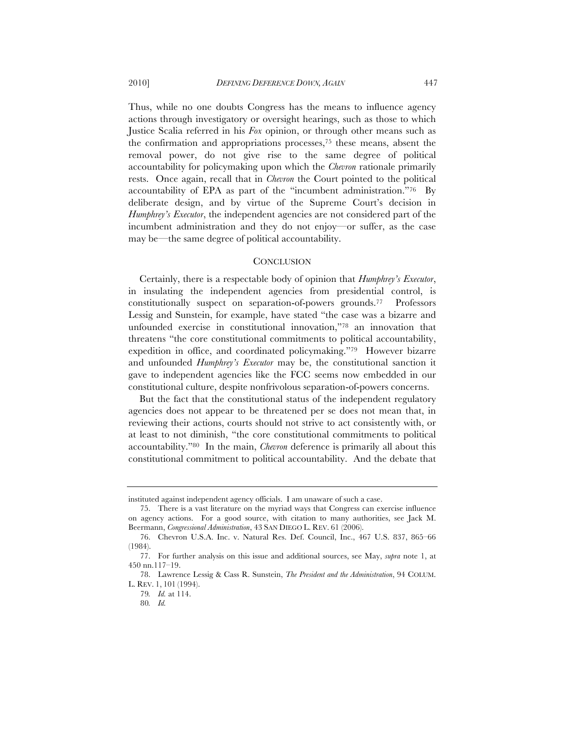Thus, while no one doubts Congress has the means to influence agency actions through investigatory or oversight hearings, such as those to which Justice Scalia referred in his *Fox* opinion, or through other means such as the confirmation and appropriations processes,75 these means, absent the removal power, do not give rise to the same degree of political accountability for policymaking upon which the *Chevron* rationale primarily rests. Once again, recall that in *Chevron* the Court pointed to the political accountability of EPA as part of the "incumbent administration."76 By deliberate design, and by virtue of the Supreme Court's decision in *Humphrey's Executor*, the independent agencies are not considered part of the incumbent administration and they do not enjoy—or suffer, as the case may be—the same degree of political accountability.

#### **CONCLUSION**

Certainly, there is a respectable body of opinion that *Humphrey's Executor*, in insulating the independent agencies from presidential control, is constitutionally suspect on separation-of-powers grounds.77 Professors Lessig and Sunstein, for example, have stated "the case was a bizarre and unfounded exercise in constitutional innovation,"78 an innovation that threatens "the core constitutional commitments to political accountability, expedition in office, and coordinated policymaking."79 However bizarre and unfounded *Humphrey's Executor* may be, the constitutional sanction it gave to independent agencies like the FCC seems now embedded in our constitutional culture, despite nonfrivolous separation-of-powers concerns.

But the fact that the constitutional status of the independent regulatory agencies does not appear to be threatened per se does not mean that, in reviewing their actions, courts should not strive to act consistently with, or at least to not diminish, "the core constitutional commitments to political accountability."80 In the main, *Chevron* deference is primarily all about this constitutional commitment to political accountability. And the debate that

instituted against independent agency officials. I am unaware of such a case.

<sup>75.</sup> There is a vast literature on the myriad ways that Congress can exercise influence on agency actions. For a good source, with citation to many authorities, see Jack M. Beermann, *Congressional Administration*, 43 SAN DIEGO L. REV. 61 (2006).

<sup>76.</sup> Chevron U.S.A. Inc. v. Natural Res. Def. Council, Inc., 467 U.S. 837, 865–66 (1984).

<sup>77.</sup> For further analysis on this issue and additional sources, see May, *supra* note 1, at 450 nn.117–19.

<sup>78.</sup> Lawrence Lessig & Cass R. Sunstein, *The President and the Administration*, 94 COLUM. L. REV. 1, 101 (1994).

<sup>79</sup>*. Id.* at 114.

<sup>80</sup>*. Id.*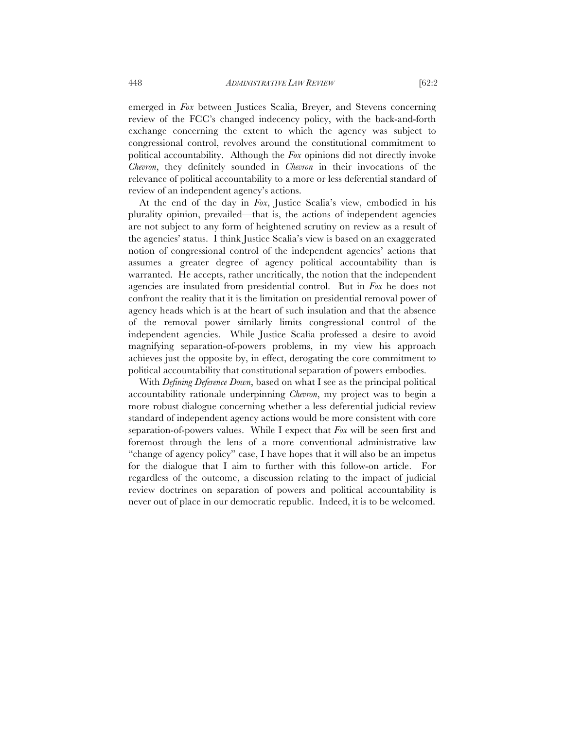emerged in *Fox* between Justices Scalia, Breyer, and Stevens concerning review of the FCC's changed indecency policy, with the back-and-forth exchange concerning the extent to which the agency was subject to congressional control, revolves around the constitutional commitment to political accountability. Although the *Fox* opinions did not directly invoke *Chevron*, they definitely sounded in *Chevron* in their invocations of the relevance of political accountability to a more or less deferential standard of review of an independent agency's actions.

At the end of the day in *Fox*, Justice Scalia's view, embodied in his plurality opinion, prevailed—that is, the actions of independent agencies are not subject to any form of heightened scrutiny on review as a result of the agencies' status. I think Justice Scalia's view is based on an exaggerated notion of congressional control of the independent agencies' actions that assumes a greater degree of agency political accountability than is warranted. He accepts, rather uncritically, the notion that the independent agencies are insulated from presidential control. But in *Fox* he does not confront the reality that it is the limitation on presidential removal power of agency heads which is at the heart of such insulation and that the absence of the removal power similarly limits congressional control of the independent agencies. While Justice Scalia professed a desire to avoid magnifying separation-of-powers problems, in my view his approach achieves just the opposite by, in effect, derogating the core commitment to political accountability that constitutional separation of powers embodies.

With *Defining Deference Down*, based on what I see as the principal political accountability rationale underpinning *Chevron*, my project was to begin a more robust dialogue concerning whether a less deferential judicial review standard of independent agency actions would be more consistent with core separation-of-powers values. While I expect that *Fox* will be seen first and foremost through the lens of a more conventional administrative law "change of agency policy" case, I have hopes that it will also be an impetus for the dialogue that I aim to further with this follow-on article. For regardless of the outcome, a discussion relating to the impact of judicial review doctrines on separation of powers and political accountability is never out of place in our democratic republic. Indeed, it is to be welcomed.